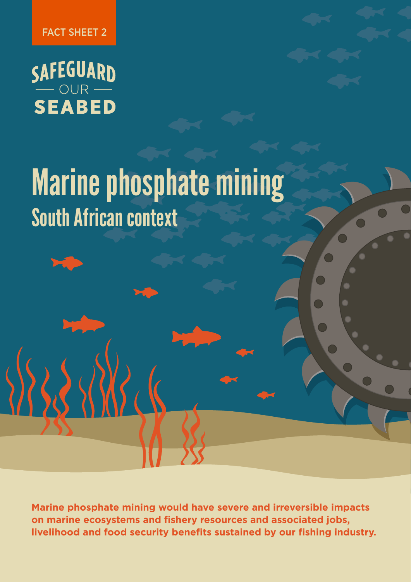FACT SHEET 2

SAFEGUARD<br>
SEABED

RES PRICE

# South African context Marine phosphate mining

**Marine phosphate mining would have severe and irreversible impacts on marine ecosystems and fishery resources and associated jobs, livelihood and food security benefits sustained by our fishing industry.**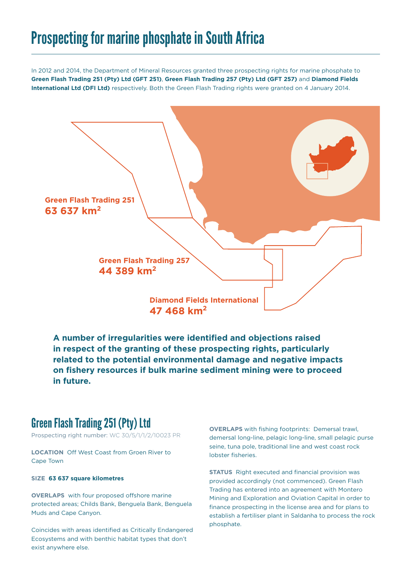# Prospecting for marine phosphate in South Africa

In 2012 and 2014, the Department of Mineral Resources granted three prospecting rights for marine phosphate to **Green Flash Trading 251 (Pty) Ltd (GFT 251)**, **Green Flash Trading 257 (Pty) Ltd (GFT 257)** and **Diamond Fields International Ltd (DFI Ltd)** respectively. Both the Green Flash Trading rights were granted on 4 January 2014.



**A number of irregularities were identified and objections raised in respect of the granting of these prospecting rights, particularly related to the potential environmental damage and negative impacts on fishery resources if bulk marine sediment mining were to proceed in future.** 

#### Green Flash Trading 251 (Pty) Ltd

Prospecting right number: WC 30/5/1/1/2/10023 PR

**LOCATION** Off West Coast from Groen River to Cape Town

#### **SIZE 63 637 square kilometres**

**OVERLAPS** with four proposed offshore marine protected areas; Childs Bank, Benguela Bank, Benguela Muds and Cape Canyon.

Coincides with areas identified as Critically Endangered Ecosystems and with benthic habitat types that don't exist anywhere else.

**OVERLAPS** with fishing footprints: Demersal trawl, demersal long-line, pelagic long-line, small pelagic purse seine, tuna pole, traditional line and west coast rock lobster fisheries.

**STATUS** Right executed and financial provision was provided accordingly (not commenced). Green Flash Trading has entered into an agreement with Montero Mining and Exploration and Oviation Capital in order to finance prospecting in the license area and for plans to establish a fertiliser plant in Saldanha to process the rock phosphate.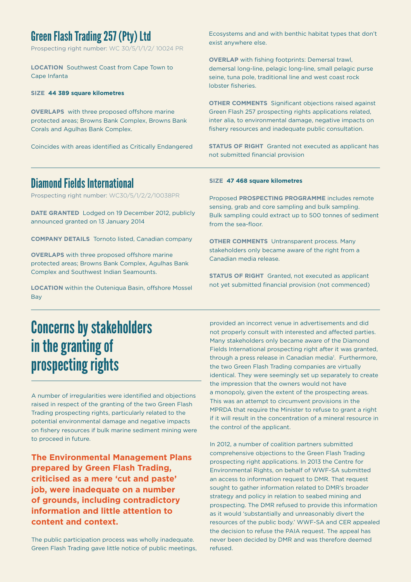### Green Flash Trading 257 (Pty) Ltd

Prospecting right number: WC 30/5/1/1/2/ 10024 PR

**LOCATION** Southwest Coast from Cape Town to Cape Infanta

#### **SIZE 44 389 square kilometres**

**OVERLAPS** with three proposed offshore marine protected areas; Browns Bank Complex, Browns Bank Corals and Agulhas Bank Complex.

Coincides with areas identified as Critically Endangered

Ecosystems and and with benthic habitat types that don't exist anywhere else.

**OVERLAP** with fishing footprints: Demersal trawl, demersal long-line, pelagic long-line, small pelagic purse seine, tuna pole, traditional line and west coast rock lobster fisheries.

**OTHER COMMENTS** Significant objections raised against Green Flash 257 prospecting rights applications related, inter alia, to environmental damage, negative impacts on fishery resources and inadequate public consultation.

**STATUS OF RIGHT** Granted not executed as applicant has not submitted financial provision

### Diamond Fields International

Prospecting right number: WC30/5/1/2/2/10038PR

**DATE GRANTED** Lodged on 19 December 2012, publicly announced granted on 13 January 2014

**COMPANY DETAILS** Tornoto listed, Canadian company

**OVERLAPS** with three proposed offshore marine protected areas; Browns Bank Complex, Agulhas Bank Complex and Southwest Indian Seamounts.

**LOCATION** within the Outeniqua Basin, offshore Mossel Bay

#### **SIZE 47 468 square kilometres**

Proposed **PROSPECTING PROGRAMME** includes remote sensing, grab and core sampling and bulk sampling. Bulk sampling could extract up to 500 tonnes of sediment from the sea-floor.

**OTHER COMMENTS** Untransparent process. Many stakeholders only became aware of the right from a Canadian media release.

**STATUS OF RIGHT** Granted, not executed as applicant not yet submitted financial provision (not commenced)

# Concerns by stakeholders in the granting of prospecting rights

A number of irregularities were identified and objections raised in respect of the granting of the two Green Flash Trading prospecting rights, particularly related to the potential environmental damage and negative impacts on fishery resources if bulk marine sediment mining were to proceed in future.

**The Environmental Management Plans prepared by Green Flash Trading, criticised as a mere 'cut and paste' job, were inadequate on a number of grounds, including contradictory information and little attention to content and context.** 

The public participation process was wholly inadequate. Green Flash Trading gave little notice of public meetings, provided an incorrect venue in advertisements and did not properly consult with interested and affected parties. Many stakeholders only became aware of the Diamond Fields International prospecting right after it was granted, through a press release in Canadian media<sup>1</sup>. Furthermore, the two Green Flash Trading companies are virtually identical. They were seemingly set up separately to create the impression that the owners would not have a monopoly, given the extent of the prospecting areas. This was an attempt to circumvent provisions in the MPRDA that require the Minister to refuse to grant a right if it will result in the concentration of a mineral resource in the control of the applicant.

In 2012, a number of coalition partners submitted comprehensive objections to the Green Flash Trading prospecting right applications. In 2013 the Centre for Environmental Rights, on behalf of WWF-SA submitted an access to information request to DMR. That request sought to gather information related to DMR's broader strategy and policy in relation to seabed mining and prospecting. The DMR refused to provide this information as it would 'substantially and unreasonably divert the resources of the public body.' WWF-SA and CER appealed the decision to refuse the PAIA request. The appeal has never been decided by DMR and was therefore deemed refused.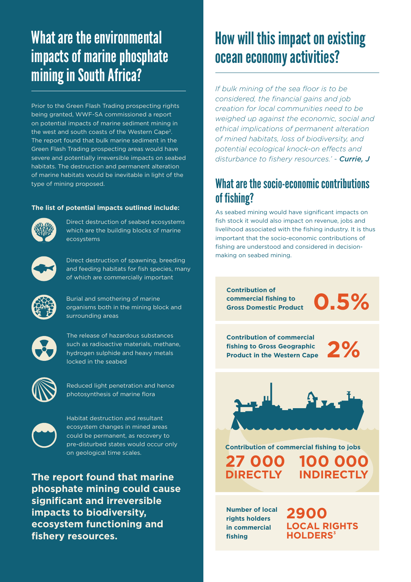# What are the environmental impacts of marine phosphate mining in South Africa?

Prior to the Green Flash Trading prospecting rights being granted, WWF-SA commissioned a report on potential impacts of marine sediment mining in the west and south coasts of the Western Cape<sup>2</sup>. The report found that bulk marine sediment in the Green Flash Trading prospecting areas would have severe and potentially irreversible impacts on seabed habitats. The destruction and permanent alteration of marine habitats would be inevitable in light of the type of mining proposed.

#### **The list of potential impacts outlined include:**



Direct destruction of seabed ecosystems which are the building blocks of marine ecosystems



Direct destruction of spawning, breeding and feeding habitats for fish species, many of which are commercially important

Burial and smothering of marine organisms both in the mining block and surrounding areas



The release of hazardous substances such as radioactive materials, methane, hydrogen sulphide and heavy metals locked in the seabed



Reduced light penetration and hence photosynthesis of marine flora



Habitat destruction and resultant ecosystem changes in mined areas could be permanent, as recovery to pre-disturbed states would occur only on geological time scales.

**The report found that marine phosphate mining could cause significant and irreversible impacts to biodiversity, ecosystem functioning and fishery resources.**

# How will this impact on existing ocean economy activities?

*If bulk mining of the sea floor is to be considered, the financial gains and job creation for local communities need to be weighed up against the economic, social and ethical implications of permanent alteration of mined habitats, loss of biodiversity, and potential ecological knock-on effects and disturbance to fishery resources.' - Currie, J*

### What are the socio-economic contributions of fishing?

As seabed mining would have significant impacts on fish stock it would also impact on revenue, jobs and livelihood associated with the fishing industry. It is thus important that the socio-economic contributions of fishing are understood and considered in decisionmaking on seabed mining.

**Contribution of commercial fishing to Gross Domestic Product**

**0.5%**

**Contribution of commercial fishing to Gross Geographic Product in the Western Cape**

**2%**



**Contribution of commercial fishing to jobs**

**27 000 DIRECTLY**

**100 000 INDIRECTLY**

**Number of local rights holders in commercial fishing**

**2900 LOCAL RIGHTS HOLDERS3**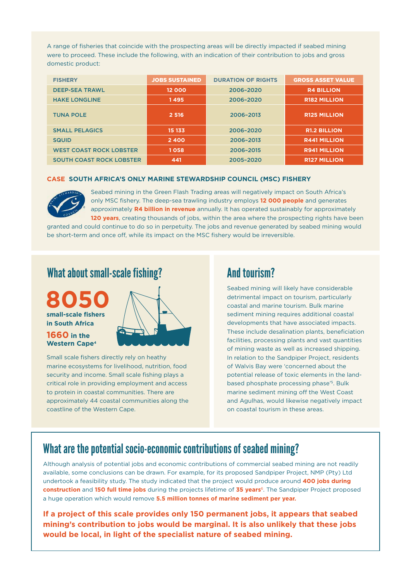A range of fisheries that coincide with the prospecting areas will be directly impacted if seabed mining were to proceed. These include the following, with an indication of their contribution to jobs and gross domestic product:

| <b>FISHERY</b>                  | <b>JOBS SUSTAINED</b> | <b>DURATION OF RIGHTS</b> | <b>GROSS ASSET VALUE</b> |
|---------------------------------|-----------------------|---------------------------|--------------------------|
| <b>DEEP-SEA TRAWL</b>           | 12 000                | 2006-2020                 | <b>R4 BILLION</b>        |
| <b>HAKE LONGLINE</b>            | 1495                  | 2006-2020                 | <b>R182 MILLION</b>      |
| <b>TUNA POLE</b>                | 2 5 1 6               | 2006-2013                 | <b>R125 MILLION</b>      |
| <b>SMALL PELAGICS</b>           | 15 133                | 2006-2020                 | <b>R1.2 BILLION</b>      |
| <b>SQUID</b>                    | 2400                  | 2006-2013                 | <b>R441 MILLION</b>      |
| <b>WEST COAST ROCK LOBSTER</b>  | 1058                  | 2006-2015                 | <b>R941 MILLION</b>      |
| <b>SOUTH COAST ROCK LOBSTER</b> | 441                   | 2005-2020                 | <b>R127 MILLION</b>      |

#### **CASE SOUTH AFRICA'S ONLY MARINE STEWARDSHIP COUNCIL (MSC) FISHERY**



Seabed mining in the Green Flash Trading areas will negatively impact on South Africa's only MSC fishery. The deep-sea trawling industry employs **12 000 people** and generates approximately **R4 billion in revenue** annually. It has operated sustainably for approximately **120 years**, creating thousands of jobs, within the area where the prospecting rights have been

granted and could continue to do so in perpetuity. The jobs and revenue generated by seabed mining would be short-term and once off, while its impact on the MSC fishery would be irreversible.

#### What about small-scale fishing?





Small scale fishers directly rely on heathy marine ecosystems for livelihood, nutrition, food security and income. Small scale fishing plays a critical role in providing employment and access to protein in coastal communities. There are approximately 44 coastal communities along the coastline of the Western Cape.

#### And tourism?

Seabed mining will likely have considerable detrimental impact on tourism, particularly coastal and marine tourism. Bulk marine sediment mining requires additional coastal developments that have associated impacts. These include desalination plants, beneficiation facilities, processing plants and vast quantities of mining waste as well as increased shipping. In relation to the Sandpiper Project, residents of Walvis Bay were 'concerned about the potential release of toxic elements in the landbased phosphate processing phase'5. Bulk marine sediment mining off the West Coast and Agulhas, would likewise negatively impact on coastal tourism in these areas.

### What are the potential socio-economic contributions of seabed mining?

Although analysis of potential jobs and economic contributions of commercial seabed mining are not readily available, some conclusions can be drawn. For example, for its proposed Sandpiper Project, NMP (Pty) Ltd undertook a feasibility study. The study indicated that the project would produce around **400 jobs during construction** and **150 full time jobs** during the projects lifetime of **35 years**6. The Sandpiper Project proposed a huge operation which would remove **5.5 million tonnes of marine sediment per year.**

**If a project of this scale provides only 150 permanent jobs, it appears that seabed mining's contribution to jobs would be marginal. It is also unlikely that these jobs would be local, in light of the specialist nature of seabed mining.**